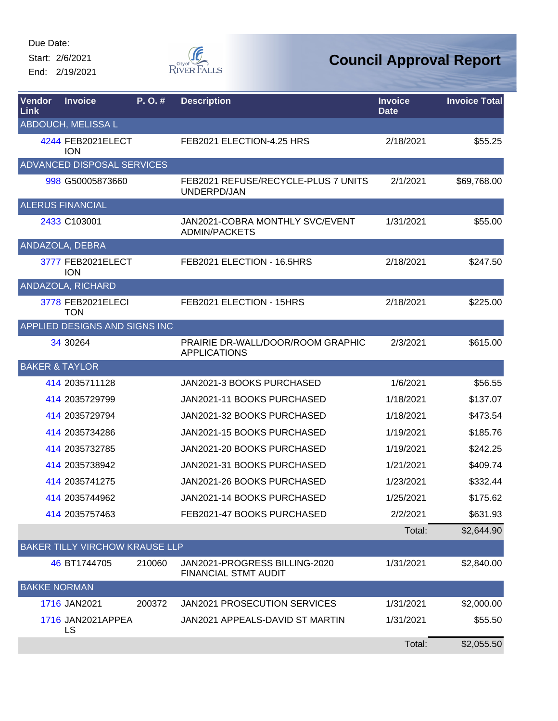Start: 2/6/2021

End: 2/19/2021



| Vendor<br>Link | <b>Invoice</b>                  | P.O.#  | <b>Description</b>                                           | <b>Invoice</b><br><b>Date</b> | <b>Invoice Total</b> |
|----------------|---------------------------------|--------|--------------------------------------------------------------|-------------------------------|----------------------|
|                | <b>ABDOUCH, MELISSA L</b>       |        |                                                              |                               |                      |
|                | 4244 FEB2021ELECT<br><b>ION</b> |        | FEB2021 ELECTION-4.25 HRS                                    | 2/18/2021                     | \$55.25              |
|                | ADVANCED DISPOSAL SERVICES      |        |                                                              |                               |                      |
|                | 998 G50005873660                |        | FEB2021 REFUSE/RECYCLE-PLUS 7 UNITS<br>UNDERPD/JAN           | 2/1/2021                      | \$69,768.00          |
|                | <b>ALERUS FINANCIAL</b>         |        |                                                              |                               |                      |
|                | 2433 C103001                    |        | JAN2021-COBRA MONTHLY SVC/EVENT<br><b>ADMIN/PACKETS</b>      | 1/31/2021                     | \$55.00              |
|                | ANDAZOLA, DEBRA                 |        |                                                              |                               |                      |
|                | 3777 FEB2021ELECT<br><b>ION</b> |        | FEB2021 ELECTION - 16.5HRS                                   | 2/18/2021                     | \$247.50             |
|                | ANDAZOLA, RICHARD               |        |                                                              |                               |                      |
|                | 3778 FEB2021ELECI<br><b>TON</b> |        | FEB2021 ELECTION - 15HRS                                     | 2/18/2021                     | \$225.00             |
|                | APPLIED DESIGNS AND SIGNS INC   |        |                                                              |                               |                      |
|                | 34 30 264                       |        | PRAIRIE DR-WALL/DOOR/ROOM GRAPHIC<br><b>APPLICATIONS</b>     | 2/3/2021                      | \$615.00             |
|                | <b>BAKER &amp; TAYLOR</b>       |        |                                                              |                               |                      |
|                | 414 2035711128                  |        | JAN2021-3 BOOKS PURCHASED                                    | 1/6/2021                      | \$56.55              |
|                | 414 2035729799                  |        | JAN2021-11 BOOKS PURCHASED                                   | 1/18/2021                     | \$137.07             |
|                | 414 2035729794                  |        | JAN2021-32 BOOKS PURCHASED                                   | 1/18/2021                     | \$473.54             |
|                | 414 2035734286                  |        | JAN2021-15 BOOKS PURCHASED                                   | 1/19/2021                     | \$185.76             |
|                | 414 2035732785                  |        | JAN2021-20 BOOKS PURCHASED                                   | 1/19/2021                     | \$242.25             |
|                | 414 2035738942                  |        | JAN2021-31 BOOKS PURCHASED                                   | 1/21/2021                     | \$409.74             |
|                | 414 2035741275                  |        | JAN2021-26 BOOKS PURCHASED                                   | 1/23/2021                     | \$332.44             |
|                | 414 2035744962                  |        | JAN2021-14 BOOKS PURCHASED                                   | 1/25/2021                     | \$175.62             |
|                | 414 2035757463                  |        | FEB2021-47 BOOKS PURCHASED                                   | 2/2/2021                      | \$631.93             |
|                |                                 |        |                                                              | Total:                        | \$2,644.90           |
|                | BAKER TILLY VIRCHOW KRAUSE LLP  |        |                                                              |                               |                      |
|                | 46 BT1744705                    | 210060 | JAN2021-PROGRESS BILLING-2020<br><b>FINANCIAL STMT AUDIT</b> | 1/31/2021                     | \$2,840.00           |
|                | <b>BAKKE NORMAN</b>             |        |                                                              |                               |                      |
|                | 1716 JAN2021                    | 200372 | JAN2021 PROSECUTION SERVICES                                 | 1/31/2021                     | \$2,000.00           |
|                | 1716 JAN2021APPEA<br>LS         |        | JAN2021 APPEALS-DAVID ST MARTIN                              | 1/31/2021                     | \$55.50              |
|                |                                 |        |                                                              | Total:                        | \$2,055.50           |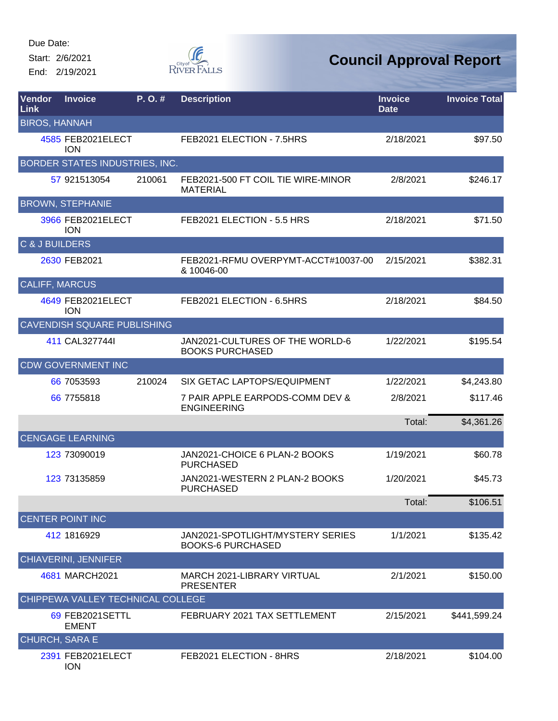Start: 2/6/2021

End: 2/19/2021



## **Council Approval Report**

| Vendor<br><b>Link</b> | <b>Invoice</b>                     | P. O. # | <b>Description</b>                                           | <b>Invoice</b><br><b>Date</b> | <b>Invoice Total</b> |
|-----------------------|------------------------------------|---------|--------------------------------------------------------------|-------------------------------|----------------------|
| <b>BIROS, HANNAH</b>  |                                    |         |                                                              |                               |                      |
|                       | 4585 FEB2021ELECT<br><b>ION</b>    |         | FEB2021 ELECTION - 7.5HRS                                    | 2/18/2021                     | \$97.50              |
|                       | BORDER STATES INDUSTRIES, INC.     |         |                                                              |                               |                      |
|                       | 57 921513054                       | 210061  | FEB2021-500 FT COIL TIE WIRE-MINOR<br><b>MATERIAL</b>        | 2/8/2021                      | \$246.17             |
|                       | <b>BROWN, STEPHANIE</b>            |         |                                                              |                               |                      |
|                       | 3966 FEB2021ELECT<br><b>ION</b>    |         | FEB2021 ELECTION - 5.5 HRS                                   | 2/18/2021                     | \$71.50              |
| C & J BUILDERS        |                                    |         |                                                              |                               |                      |
|                       | 2630 FEB2021                       |         | FEB2021-RFMU OVERPYMT-ACCT#10037-00<br>& 10046-00            | 2/15/2021                     | \$382.31             |
| <b>CALIFF, MARCUS</b> |                                    |         |                                                              |                               |                      |
|                       | 4649 FEB2021ELECT<br><b>ION</b>    |         | FEB2021 ELECTION - 6.5HRS                                    | 2/18/2021                     | \$84.50              |
|                       | <b>CAVENDISH SQUARE PUBLISHING</b> |         |                                                              |                               |                      |
|                       | 411 CAL3277441                     |         | JAN2021-CULTURES OF THE WORLD-6<br><b>BOOKS PURCHASED</b>    | 1/22/2021                     | \$195.54             |
|                       | <b>CDW GOVERNMENT INC</b>          |         |                                                              |                               |                      |
|                       | 66 7053593                         | 210024  | SIX GETAC LAPTOPS/EQUIPMENT                                  | 1/22/2021                     | \$4,243.80           |
|                       | 66 7755818                         |         | 7 PAIR APPLE EARPODS-COMM DEV &<br><b>ENGINEERING</b>        | 2/8/2021                      | \$117.46             |
|                       |                                    |         |                                                              | Total:                        | \$4,361.26           |
|                       | <b>CENGAGE LEARNING</b>            |         |                                                              |                               |                      |
|                       | 123 73090019                       |         | JAN2021-CHOICE 6 PLAN-2 BOOKS<br><b>PURCHASED</b>            | 1/19/2021                     | \$60.78              |
|                       | 123 73135859                       |         | JAN2021-WESTERN 2 PLAN-2 BOOKS<br><b>PURCHASED</b>           | 1/20/2021                     | \$45.73              |
|                       |                                    |         |                                                              | Total:                        | \$106.51             |
|                       | <b>CENTER POINT INC</b>            |         |                                                              |                               |                      |
|                       | 412 1816929                        |         | JAN2021-SPOTLIGHT/MYSTERY SERIES<br><b>BOOKS-6 PURCHASED</b> | 1/1/2021                      | \$135.42             |
|                       | CHIAVERINI, JENNIFER               |         |                                                              |                               |                      |
|                       | 4681 MARCH2021                     |         | <b>MARCH 2021-LIBRARY VIRTUAL</b><br><b>PRESENTER</b>        | 2/1/2021                      | \$150.00             |
|                       | CHIPPEWA VALLEY TECHNICAL COLLEGE  |         |                                                              |                               |                      |
|                       | 69 FEB2021SETTL<br><b>EMENT</b>    |         | FEBRUARY 2021 TAX SETTLEMENT                                 | 2/15/2021                     | \$441,599.24         |
| <b>CHURCH, SARA E</b> |                                    |         |                                                              |                               |                      |
|                       | 2391 FEB2021ELECT                  |         | FEB2021 ELECTION - 8HRS                                      | 2/18/2021                     | \$104.00             |

ION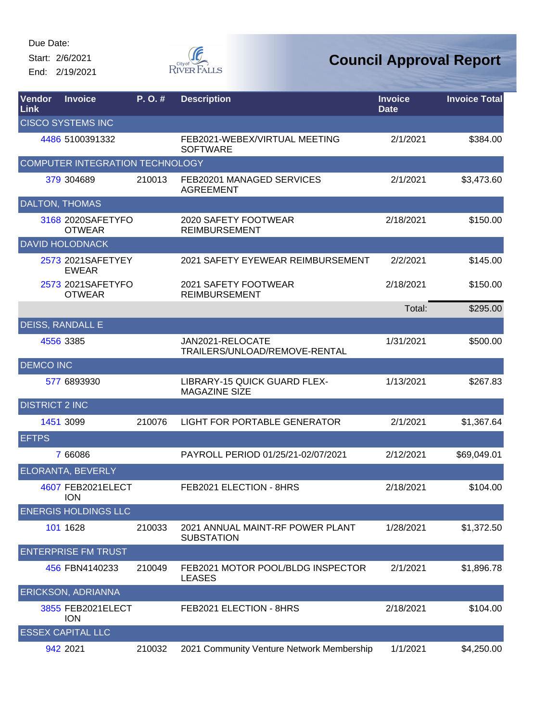Start: 2/6/2021 End: 2/19/2021



| Vendor<br>Link        | <b>Invoice</b>                     | P.O.#  | <b>Description</b>                                    | <b>Invoice</b><br><b>Date</b> | <b>Invoice Total</b> |
|-----------------------|------------------------------------|--------|-------------------------------------------------------|-------------------------------|----------------------|
|                       | <b>CISCO SYSTEMS INC</b>           |        |                                                       |                               |                      |
|                       | 4486 5100391332                    |        | FEB2021-WEBEX/VIRTUAL MEETING<br><b>SOFTWARE</b>      | 2/1/2021                      | \$384.00             |
|                       | COMPUTER INTEGRATION TECHNOLOGY    |        |                                                       |                               |                      |
|                       | 379 304689                         | 210013 | FEB20201 MANAGED SERVICES<br><b>AGREEMENT</b>         | 2/1/2021                      | \$3,473.60           |
|                       | <b>DALTON, THOMAS</b>              |        |                                                       |                               |                      |
|                       | 3168 2020SAFETYFO<br><b>OTWEAR</b> |        | 2020 SAFETY FOOTWEAR<br><b>REIMBURSEMENT</b>          | 2/18/2021                     | \$150.00             |
|                       | <b>DAVID HOLODNACK</b>             |        |                                                       |                               |                      |
|                       | 2573 2021SAFETYEY<br><b>EWEAR</b>  |        | 2021 SAFETY EYEWEAR REIMBURSEMENT                     | 2/2/2021                      | \$145.00             |
|                       | 2573 2021SAFETYFO<br><b>OTWEAR</b> |        | 2021 SAFETY FOOTWEAR<br><b>REIMBURSEMENT</b>          | 2/18/2021                     | \$150.00             |
|                       |                                    |        |                                                       | Total:                        | \$295.00             |
|                       | <b>DEISS, RANDALL E</b>            |        |                                                       |                               |                      |
|                       | 4556 3385                          |        | JAN2021-RELOCATE<br>TRAILERS/UNLOAD/REMOVE-RENTAL     | 1/31/2021                     | \$500.00             |
| <b>DEMCO INC</b>      |                                    |        |                                                       |                               |                      |
|                       | 577 6893930                        |        | LIBRARY-15 QUICK GUARD FLEX-<br><b>MAGAZINE SIZE</b>  | 1/13/2021                     | \$267.83             |
| <b>DISTRICT 2 INC</b> |                                    |        |                                                       |                               |                      |
|                       | 1451 3099                          | 210076 | <b>LIGHT FOR PORTABLE GENERATOR</b>                   | 2/1/2021                      | \$1,367.64           |
| <b>EFTPS</b>          |                                    |        |                                                       |                               |                      |
|                       | 7 66086                            |        | PAYROLL PERIOD 01/25/21-02/07/2021                    | 2/12/2021                     | \$69,049.01          |
|                       | <b>ELORANTA, BEVERLY</b>           |        |                                                       |                               |                      |
|                       | 4607 FEB2021ELECT<br><b>ION</b>    |        | FEB2021 ELECTION - 8HRS                               | 2/18/2021                     | \$104.00             |
|                       | <b>ENERGIS HOLDINGS LLC</b>        |        |                                                       |                               |                      |
|                       | 101 1628                           | 210033 | 2021 ANNUAL MAINT-RF POWER PLANT<br><b>SUBSTATION</b> | 1/28/2021                     | \$1,372.50           |
|                       | <b>ENTERPRISE FM TRUST</b>         |        |                                                       |                               |                      |
|                       | 456 FBN4140233                     | 210049 | FEB2021 MOTOR POOL/BLDG INSPECTOR<br><b>LEASES</b>    | 2/1/2021                      | \$1,896.78           |
|                       | <b>ERICKSON, ADRIANNA</b>          |        |                                                       |                               |                      |
|                       | 3855 FEB2021ELECT<br><b>ION</b>    |        | FEB2021 ELECTION - 8HRS                               | 2/18/2021                     | \$104.00             |
|                       | <b>ESSEX CAPITAL LLC</b>           |        |                                                       |                               |                      |
|                       | 942 2021                           | 210032 | 2021 Community Venture Network Membership             | 1/1/2021                      | \$4,250.00           |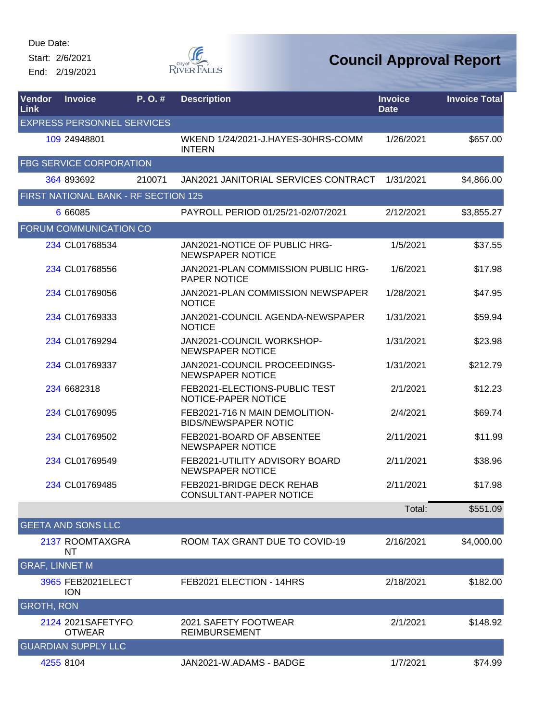Start: 2/6/2021 End: 2/19/2021



| Vendor<br>Link        | <b>Invoice</b>                       | P.O.#  | <b>Description</b>                                            | <b>Invoice</b><br><b>Date</b> | <b>Invoice Total</b> |
|-----------------------|--------------------------------------|--------|---------------------------------------------------------------|-------------------------------|----------------------|
|                       | <b>EXPRESS PERSONNEL SERVICES</b>    |        |                                                               |                               |                      |
|                       | 109 24948801                         |        | WKEND 1/24/2021-J.HAYES-30HRS-COMM<br><b>INTERN</b>           | 1/26/2021                     | \$657.00             |
|                       | <b>FBG SERVICE CORPORATION</b>       |        |                                                               |                               |                      |
|                       | 364 893692                           | 210071 | <b>JAN2021 JANITORIAL SERVICES CONTRACT</b>                   | 1/31/2021                     | \$4,866.00           |
|                       | FIRST NATIONAL BANK - RF SECTION 125 |        |                                                               |                               |                      |
|                       | 6 66085                              |        | PAYROLL PERIOD 01/25/21-02/07/2021                            | 2/12/2021                     | \$3,855.27           |
|                       | FORUM COMMUNICATION CO               |        |                                                               |                               |                      |
|                       | 234 CL01768534                       |        | JAN2021-NOTICE OF PUBLIC HRG-<br><b>NEWSPAPER NOTICE</b>      | 1/5/2021                      | \$37.55              |
|                       | 234 CL01768556                       |        | JAN2021-PLAN COMMISSION PUBLIC HRG-<br><b>PAPER NOTICE</b>    | 1/6/2021                      | \$17.98              |
|                       | 234 CL01769056                       |        | JAN2021-PLAN COMMISSION NEWSPAPER<br><b>NOTICE</b>            | 1/28/2021                     | \$47.95              |
|                       | 234 CL01769333                       |        | JAN2021-COUNCIL AGENDA-NEWSPAPER<br><b>NOTICE</b>             | 1/31/2021                     | \$59.94              |
|                       | 234 CL01769294                       |        | JAN2021-COUNCIL WORKSHOP-<br><b>NEWSPAPER NOTICE</b>          | 1/31/2021                     | \$23.98              |
|                       | 234 CL01769337                       |        | JAN2021-COUNCIL PROCEEDINGS-<br><b>NEWSPAPER NOTICE</b>       | 1/31/2021                     | \$212.79             |
|                       | 234 6682318                          |        | FEB2021-ELECTIONS-PUBLIC TEST<br>NOTICE-PAPER NOTICE          | 2/1/2021                      | \$12.23              |
|                       | 234 CL01769095                       |        | FEB2021-716 N MAIN DEMOLITION-<br><b>BIDS/NEWSPAPER NOTIC</b> | 2/4/2021                      | \$69.74              |
|                       | 234 CL01769502                       |        | FEB2021-BOARD OF ABSENTEE<br><b>NEWSPAPER NOTICE</b>          | 2/11/2021                     | \$11.99              |
|                       | 234 CL01769549                       |        | FEB2021-UTILITY ADVISORY BOARD<br><b>NEWSPAPER NOTICE</b>     | 2/11/2021                     | \$38.96              |
|                       | 234 CL01769485                       |        | FEB2021-BRIDGE DECK REHAB<br>CONSULTANT-PAPER NOTICE          | 2/11/2021                     | \$17.98              |
|                       |                                      |        |                                                               | Total:                        | \$551.09             |
|                       | <b>GEETA AND SONS LLC</b>            |        |                                                               |                               |                      |
|                       | 2137 ROOMTAXGRA<br>ΝT                |        | ROOM TAX GRANT DUE TO COVID-19                                | 2/16/2021                     | \$4,000.00           |
| <b>GRAF, LINNET M</b> |                                      |        |                                                               |                               |                      |
|                       | 3965 FEB2021ELECT<br><b>ION</b>      |        | FEB2021 ELECTION - 14HRS                                      | 2/18/2021                     | \$182.00             |
| <b>GROTH, RON</b>     |                                      |        |                                                               |                               |                      |
|                       | 2124 2021 SAFETY FO<br><b>OTWEAR</b> |        | 2021 SAFETY FOOTWEAR<br><b>REIMBURSEMENT</b>                  | 2/1/2021                      | \$148.92             |
|                       | <b>GUARDIAN SUPPLY LLC</b>           |        |                                                               |                               |                      |
|                       | 4255 8104                            |        | JAN2021-W.ADAMS - BADGE                                       | 1/7/2021                      | \$74.99              |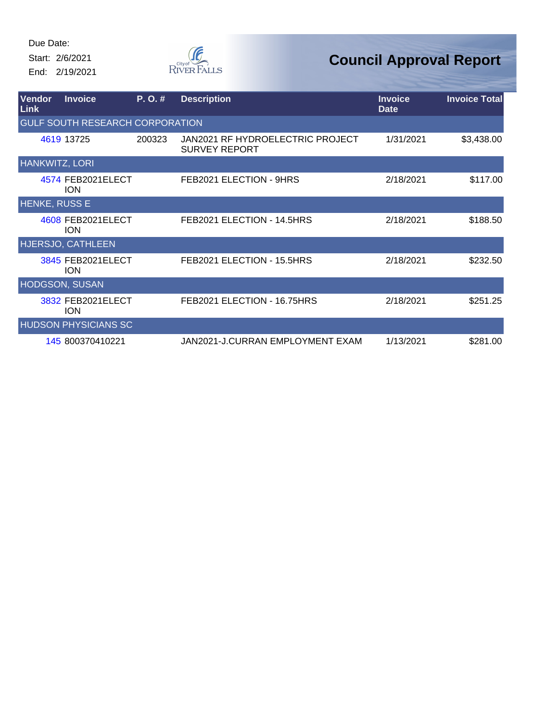Start: 2/6/2021 End: 2/19/2021



| Vendor<br>Link        | <b>Invoice</b>                         | P. O. # | <b>Description</b>                                       | <b>Invoice</b><br><b>Date</b> | <b>Invoice Total</b> |
|-----------------------|----------------------------------------|---------|----------------------------------------------------------|-------------------------------|----------------------|
|                       | <b>GULF SOUTH RESEARCH CORPORATION</b> |         |                                                          |                               |                      |
|                       | 4619 13725                             | 200323  | JAN2021 RF HYDROELECTRIC PROJECT<br><b>SURVEY REPORT</b> | 1/31/2021                     | \$3,438.00           |
| <b>HANKWITZ, LORI</b> |                                        |         |                                                          |                               |                      |
|                       | 4574 FEB2021ELECT<br><b>ION</b>        |         | FEB2021 ELECTION - 9HRS                                  | 2/18/2021                     | \$117.00             |
| <b>HENKE, RUSS E</b>  |                                        |         |                                                          |                               |                      |
|                       | 4608 FEB2021ELECT<br><b>ION</b>        |         | FEB2021 ELECTION - 14.5HRS                               | 2/18/2021                     | \$188.50             |
|                       | HJERSJO, CATHLEEN                      |         |                                                          |                               |                      |
|                       | 3845 FEB2021ELECT<br><b>ION</b>        |         | FEB2021 ELECTION - 15.5HRS                               | 2/18/2021                     | \$232.50             |
| <b>HODGSON, SUSAN</b> |                                        |         |                                                          |                               |                      |
|                       | 3832 FEB2021ELECT<br><b>ION</b>        |         | FEB2021 ELECTION - 16.75HRS                              | 2/18/2021                     | \$251.25             |
|                       | <b>HUDSON PHYSICIANS SC</b>            |         |                                                          |                               |                      |
|                       | 145 800370410221                       |         | JAN2021-J.CURRAN EMPLOYMENT EXAM                         | 1/13/2021                     | \$281.00             |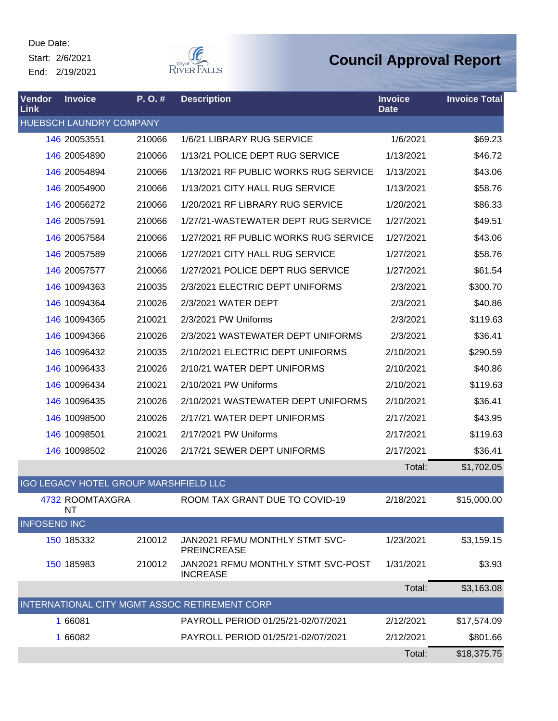Start: 2/6/2021 End: 2/19/2021



| Vendor<br>Link      | <b>Invoice</b>                               | P.O.#  | <b>Description</b>                                    | <b>Invoice</b><br><b>Date</b> | <b>Invoice Total</b> |
|---------------------|----------------------------------------------|--------|-------------------------------------------------------|-------------------------------|----------------------|
|                     | HUEBSCH LAUNDRY COMPANY                      |        |                                                       |                               |                      |
|                     | 146 20053551                                 | 210066 | 1/6/21 LIBRARY RUG SERVICE                            | 1/6/2021                      | \$69.23              |
|                     | 146 20054890                                 | 210066 | 1/13/21 POLICE DEPT RUG SERVICE                       | 1/13/2021                     | \$46.72              |
|                     | 146 20054894                                 | 210066 | 1/13/2021 RF PUBLIC WORKS RUG SERVICE                 | 1/13/2021                     | \$43.06              |
|                     | 146 20054900                                 | 210066 | 1/13/2021 CITY HALL RUG SERVICE                       | 1/13/2021                     | \$58.76              |
|                     | 146 20056272                                 | 210066 | 1/20/2021 RF LIBRARY RUG SERVICE                      | 1/20/2021                     | \$86.33              |
|                     | 146 20057591                                 | 210066 | 1/27/21-WASTEWATER DEPT RUG SERVICE                   | 1/27/2021                     | \$49.51              |
|                     | 146 20057584                                 | 210066 | 1/27/2021 RF PUBLIC WORKS RUG SERVICE                 | 1/27/2021                     | \$43.06              |
|                     | 146 20057589                                 | 210066 | 1/27/2021 CITY HALL RUG SERVICE                       | 1/27/2021                     | \$58.76              |
|                     | 146 20057577                                 | 210066 | 1/27/2021 POLICE DEPT RUG SERVICE                     | 1/27/2021                     | \$61.54              |
|                     | 146 10094363                                 | 210035 | 2/3/2021 ELECTRIC DEPT UNIFORMS                       | 2/3/2021                      | \$300.70             |
|                     | 146 10094364                                 | 210026 | 2/3/2021 WATER DEPT                                   | 2/3/2021                      | \$40.86              |
|                     | 146 10094365                                 | 210021 | 2/3/2021 PW Uniforms                                  | 2/3/2021                      | \$119.63             |
|                     | 146 10094366                                 | 210026 | 2/3/2021 WASTEWATER DEPT UNIFORMS                     | 2/3/2021                      | \$36.41              |
|                     | 146 10096432                                 | 210035 | 2/10/2021 ELECTRIC DEPT UNIFORMS                      | 2/10/2021                     | \$290.59             |
|                     | 146 10096433                                 | 210026 | 2/10/21 WATER DEPT UNIFORMS                           | 2/10/2021                     | \$40.86              |
|                     | 146 10096434                                 | 210021 | 2/10/2021 PW Uniforms                                 | 2/10/2021                     | \$119.63             |
|                     | 146 10096435                                 | 210026 | 2/10/2021 WASTEWATER DEPT UNIFORMS                    | 2/10/2021                     | \$36.41              |
|                     | 146 10098500                                 | 210026 | 2/17/21 WATER DEPT UNIFORMS                           | 2/17/2021                     | \$43.95              |
|                     | 146 10098501                                 | 210021 | 2/17/2021 PW Uniforms                                 | 2/17/2021                     | \$119.63             |
|                     | 146 10098502                                 | 210026 | 2/17/21 SEWER DEPT UNIFORMS                           | 2/17/2021                     | \$36.41              |
|                     |                                              |        |                                                       | Total:                        | \$1,702.05           |
|                     | <b>IGO LEGACY HOTEL GROUP MARSHFIELD LLC</b> |        |                                                       |                               |                      |
|                     | 4732 ROOMTAXGRA<br>NT                        |        | ROOM TAX GRANT DUE TO COVID-19                        | 2/18/2021                     | \$15,000.00          |
| <b>INFOSEND INC</b> |                                              |        |                                                       |                               |                      |
|                     | 150 185332                                   | 210012 | JAN2021 RFMU MONTHLY STMT SVC-<br><b>PREINCREASE</b>  | 1/23/2021                     | \$3,159.15           |
|                     | 150 185983                                   | 210012 | JAN2021 RFMU MONTHLY STMT SVC-POST<br><b>INCREASE</b> | 1/31/2021                     | \$3.93               |
|                     |                                              |        |                                                       | Total:                        | \$3,163.08           |
|                     |                                              |        | INTERNATIONAL CITY MGMT ASSOC RETIREMENT CORP         |                               |                      |
|                     | 1 66081                                      |        | PAYROLL PERIOD 01/25/21-02/07/2021                    | 2/12/2021                     | \$17,574.09          |
|                     | 1 66082                                      |        | PAYROLL PERIOD 01/25/21-02/07/2021                    | 2/12/2021                     | \$801.66             |
|                     |                                              |        |                                                       | Total:                        | \$18,375.75          |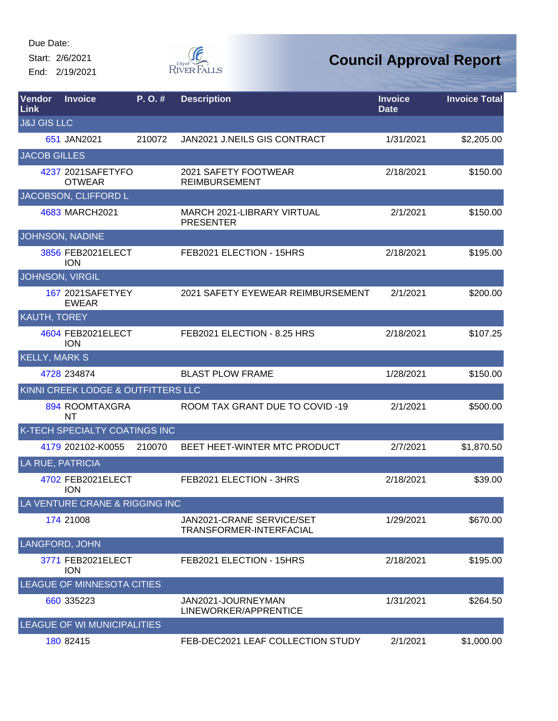Start: 2/6/2021

End: 2/19/2021



| <b>Vendor</b><br>Link  | <b>Invoice</b>                      | P. O. # | <b>Description</b>                                          | <b>Invoice</b><br><b>Date</b> | <b>Invoice Total</b> |
|------------------------|-------------------------------------|---------|-------------------------------------------------------------|-------------------------------|----------------------|
| <b>J&amp;J GIS LLC</b> |                                     |         |                                                             |                               |                      |
|                        | 651 JAN2021                         | 210072  | JAN2021 J.NEILS GIS CONTRACT                                | 1/31/2021                     | \$2,205.00           |
| <b>JACOB GILLES</b>    |                                     |         |                                                             |                               |                      |
|                        | 4237 2021 SAFETYFO<br><b>OTWEAR</b> |         | 2021 SAFETY FOOTWEAR<br><b>REIMBURSEMENT</b>                | 2/18/2021                     | \$150.00             |
|                        | JACOBSON, CLIFFORD L                |         |                                                             |                               |                      |
|                        | 4683 MARCH2021                      |         | MARCH 2021-LIBRARY VIRTUAL<br><b>PRESENTER</b>              | 2/1/2021                      | \$150.00             |
|                        | <b>JOHNSON, NADINE</b>              |         |                                                             |                               |                      |
|                        | 3856 FEB2021ELECT<br><b>ION</b>     |         | FEB2021 ELECTION - 15HRS                                    | 2/18/2021                     | \$195.00             |
|                        | JOHNSON, VIRGIL                     |         |                                                             |                               |                      |
|                        | 167 2021 SAFETYEY<br><b>EWEAR</b>   |         | 2021 SAFETY EYEWEAR REIMBURSEMENT                           | 2/1/2021                      | \$200.00             |
| KAUTH, TOREY           |                                     |         |                                                             |                               |                      |
|                        | 4604 FEB2021ELECT<br><b>ION</b>     |         | FEB2021 ELECTION - 8.25 HRS                                 | 2/18/2021                     | \$107.25             |
| <b>KELLY, MARK S</b>   |                                     |         |                                                             |                               |                      |
|                        | 4728 234874                         |         | <b>BLAST PLOW FRAME</b>                                     | 1/28/2021                     | \$150.00             |
|                        | KINNI CREEK LODGE & OUTFITTERS LLC  |         |                                                             |                               |                      |
|                        | 894 ROOMTAXGRA<br>NΤ                |         | ROOM TAX GRANT DUE TO COVID-19                              | 2/1/2021                      | \$500.00             |
|                        | K-TECH SPECIALTY COATINGS INC       |         |                                                             |                               |                      |
|                        | 4179 202102-K0055                   | 210070  | <b>BEET HEET-WINTER MTC PRODUCT</b>                         | 2/7/2021                      | \$1,870.50           |
| LA RUE, PATRICIA       |                                     |         |                                                             |                               |                      |
|                        | 4702 FEB2021ELECT<br><b>ION</b>     |         | FEB2021 ELECTION - 3HRS                                     | 2/18/2021                     | \$39.00              |
|                        | LA VENTURE CRANE & RIGGING INC      |         |                                                             |                               |                      |
|                        | 174 21008                           |         | JAN2021-CRANE SERVICE/SET<br><b>TRANSFORMER-INTERFACIAL</b> | 1/29/2021                     | \$670.00             |
| <b>LANGFORD, JOHN</b>  |                                     |         |                                                             |                               |                      |
|                        | 3771 FEB2021ELECT<br><b>ION</b>     |         | FEB2021 ELECTION - 15HRS                                    | 2/18/2021                     | \$195.00             |
|                        | <b>LEAGUE OF MINNESOTA CITIES</b>   |         |                                                             |                               |                      |
|                        | 660 335223                          |         | JAN2021-JOURNEYMAN<br>LINEWORKER/APPRENTICE                 | 1/31/2021                     | \$264.50             |
|                        | LEAGUE OF WI MUNICIPALITIES         |         |                                                             |                               |                      |
|                        | 180 82415                           |         | FEB-DEC2021 LEAF COLLECTION STUDY                           | 2/1/2021                      | \$1,000.00           |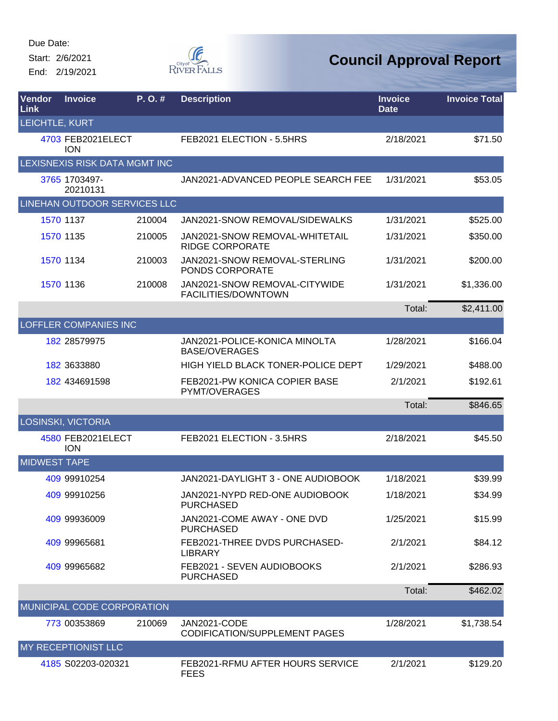Start: 2/6/2021 End: 2/19/2021  $\begin{matrix} \mathcal{G} & \mathcal{G} & \mathcal{G} \\ \mathcal{G} & \mathcal{G} & \mathcal{G} \end{matrix}$  River Falls

| Vendor<br>Link      | <b>Invoice</b>                  | P.O.#  | <b>Description</b>                                       | <b>Invoice</b><br><b>Date</b> | <b>Invoice Total</b> |
|---------------------|---------------------------------|--------|----------------------------------------------------------|-------------------------------|----------------------|
| LEICHTLE, KURT      |                                 |        |                                                          |                               |                      |
|                     | 4703 FEB2021ELECT<br><b>ION</b> |        | FEB2021 ELECTION - 5.5HRS                                | 2/18/2021                     | \$71.50              |
|                     | LEXISNEXIS RISK DATA MGMT INC   |        |                                                          |                               |                      |
|                     | 3765 1703497-<br>20210131       |        | JAN2021-ADVANCED PEOPLE SEARCH FEE                       | 1/31/2021                     | \$53.05              |
|                     | LINEHAN OUTDOOR SERVICES LLC    |        |                                                          |                               |                      |
|                     | 1570 1137                       | 210004 | JAN2021-SNOW REMOVAL/SIDEWALKS                           | 1/31/2021                     | \$525.00             |
|                     | 1570 1135                       | 210005 | JAN2021-SNOW REMOVAL-WHITETAIL<br><b>RIDGE CORPORATE</b> | 1/31/2021                     | \$350.00             |
|                     | 1570 1134                       | 210003 | JAN2021-SNOW REMOVAL-STERLING<br>PONDS CORPORATE         | 1/31/2021                     | \$200.00             |
|                     | 1570 1136                       | 210008 | JAN2021-SNOW REMOVAL-CITYWIDE<br>FACILITIES/DOWNTOWN     | 1/31/2021                     | \$1,336.00           |
|                     |                                 |        |                                                          | Total:                        | \$2,411.00           |
|                     | <b>LOFFLER COMPANIES INC</b>    |        |                                                          |                               |                      |
|                     | 182 28579975                    |        | JAN2021-POLICE-KONICA MINOLTA<br><b>BASE/OVERAGES</b>    | 1/28/2021                     | \$166.04             |
|                     | 182 3633880                     |        | HIGH YIELD BLACK TONER-POLICE DEPT                       | 1/29/2021                     | \$488.00             |
|                     | 182 434691598                   |        | FEB2021-PW KONICA COPIER BASE<br>PYMT/OVERAGES           | 2/1/2021                      | \$192.61             |
|                     |                                 |        |                                                          | Total:                        | \$846.65             |
|                     | <b>LOSINSKI, VICTORIA</b>       |        |                                                          |                               |                      |
|                     | 4580 FEB2021ELECT<br><b>ION</b> |        | FEB2021 ELECTION - 3.5HRS                                | 2/18/2021                     | \$45.50              |
| <b>MIDWEST TAPE</b> |                                 |        |                                                          |                               |                      |
|                     | 409 99910254                    |        | JAN2021-DAYLIGHT 3 - ONE AUDIOBOOK                       | 1/18/2021                     | \$39.99              |
|                     | 409 99910256                    |        | JAN2021-NYPD RED-ONE AUDIOBOOK<br><b>PURCHASED</b>       | 1/18/2021                     | \$34.99              |
|                     | 409 99936009                    |        | JAN2021-COME AWAY - ONE DVD<br><b>PURCHASED</b>          | 1/25/2021                     | \$15.99              |
|                     | 409 99965681                    |        | FEB2021-THREE DVDS PURCHASED-<br><b>LIBRARY</b>          | 2/1/2021                      | \$84.12              |
|                     | 409 99965682                    |        | FEB2021 - SEVEN AUDIOBOOKS<br><b>PURCHASED</b>           | 2/1/2021                      | \$286.93             |
|                     |                                 |        |                                                          | Total:                        | \$462.02             |
|                     | MUNICIPAL CODE CORPORATION      |        |                                                          |                               |                      |
|                     | 773 00353869                    | 210069 | JAN2021-CODE<br><b>CODIFICATION/SUPPLEMENT PAGES</b>     | 1/28/2021                     | \$1,738.54           |
|                     | MY RECEPTIONIST LLC             |        |                                                          |                               |                      |
|                     | 4185 S02203-020321              |        | FEB2021-RFMU AFTER HOURS SERVICE<br><b>FEES</b>          | 2/1/2021                      | \$129.20             |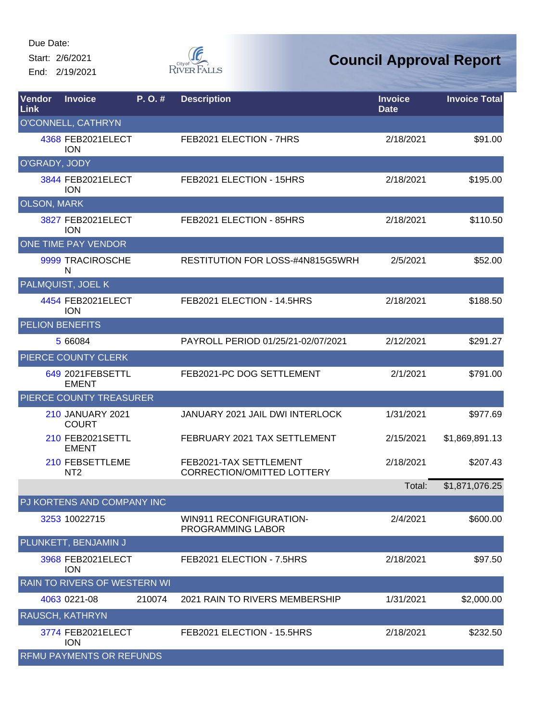Start: 2/6/2021 End: 2/19/2021



| Vendor<br>Link         | <b>Invoice</b>                          | P.O.#  | <b>Description</b>                                          | <b>Invoice</b><br><b>Date</b> | <b>Invoice Total</b> |
|------------------------|-----------------------------------------|--------|-------------------------------------------------------------|-------------------------------|----------------------|
|                        | O'CONNELL, CATHRYN                      |        |                                                             |                               |                      |
|                        | 4368 FEB2021ELECT<br><b>ION</b>         |        | FEB2021 ELECTION - 7HRS                                     | 2/18/2021                     | \$91.00              |
| O'GRADY, JODY          |                                         |        |                                                             |                               |                      |
|                        | 3844 FEB2021ELECT<br><b>ION</b>         |        | FEB2021 ELECTION - 15HRS                                    | 2/18/2021                     | \$195.00             |
| <b>OLSON, MARK</b>     |                                         |        |                                                             |                               |                      |
|                        | 3827 FEB2021ELECT<br><b>ION</b>         |        | FEB2021 ELECTION - 85HRS                                    | 2/18/2021                     | \$110.50             |
|                        | <b>ONE TIME PAY VENDOR</b>              |        |                                                             |                               |                      |
|                        | 9999 TRACIROSCHE<br>N                   |        | RESTITUTION FOR LOSS-#4N815G5WRH                            | 2/5/2021                      | \$52.00              |
|                        | PALMQUIST, JOEL K                       |        |                                                             |                               |                      |
|                        | 4454 FEB2021ELECT<br><b>ION</b>         |        | FEB2021 ELECTION - 14.5HRS                                  | 2/18/2021                     | \$188.50             |
| <b>PELION BENEFITS</b> |                                         |        |                                                             |                               |                      |
|                        | 5 66084                                 |        | PAYROLL PERIOD 01/25/21-02/07/2021                          | 2/12/2021                     | \$291.27             |
|                        | PIERCE COUNTY CLERK                     |        |                                                             |                               |                      |
|                        | 649 2021 FEBSETTL<br><b>EMENT</b>       |        | FEB2021-PC DOG SETTLEMENT                                   | 2/1/2021                      | \$791.00             |
|                        | PIERCE COUNTY TREASURER                 |        |                                                             |                               |                      |
|                        | <b>210 JANUARY 2021</b><br><b>COURT</b> |        | JANUARY 2021 JAIL DWI INTERLOCK                             | 1/31/2021                     | \$977.69             |
|                        | 210 FEB2021SETTL<br><b>EMENT</b>        |        | FEBRUARY 2021 TAX SETTLEMENT                                | 2/15/2021                     | \$1,869,891.13       |
|                        | 210 FEBSETTLEME<br>NT <sub>2</sub>      |        | FEB2021-TAX SETTLEMENT<br><b>CORRECTION/OMITTED LOTTERY</b> | 2/18/2021                     | \$207.43             |
|                        |                                         |        |                                                             | Total:                        | \$1,871,076.25       |
|                        | PJ KORTENS AND COMPANY INC              |        |                                                             |                               |                      |
|                        | 3253 10022715                           |        | <b>WIN911 RECONFIGURATION-</b><br>PROGRAMMING LABOR         | 2/4/2021                      | \$600.00             |
|                        | PLUNKETT, BENJAMIN J                    |        |                                                             |                               |                      |
|                        | 3968 FEB2021ELECT<br><b>ION</b>         |        | FEB2021 ELECTION - 7.5HRS                                   | 2/18/2021                     | \$97.50              |
|                        | <b>RAIN TO RIVERS OF WESTERN WI</b>     |        |                                                             |                               |                      |
|                        | 4063 0221-08                            | 210074 | 2021 RAIN TO RIVERS MEMBERSHIP                              | 1/31/2021                     | \$2,000.00           |
|                        | <b>RAUSCH, KATHRYN</b>                  |        |                                                             |                               |                      |
|                        | 3774 FEB2021ELECT<br><b>ION</b>         |        | FEB2021 ELECTION - 15.5HRS                                  | 2/18/2021                     | \$232.50             |
|                        | <b>RFMU PAYMENTS OR REFUNDS</b>         |        |                                                             |                               |                      |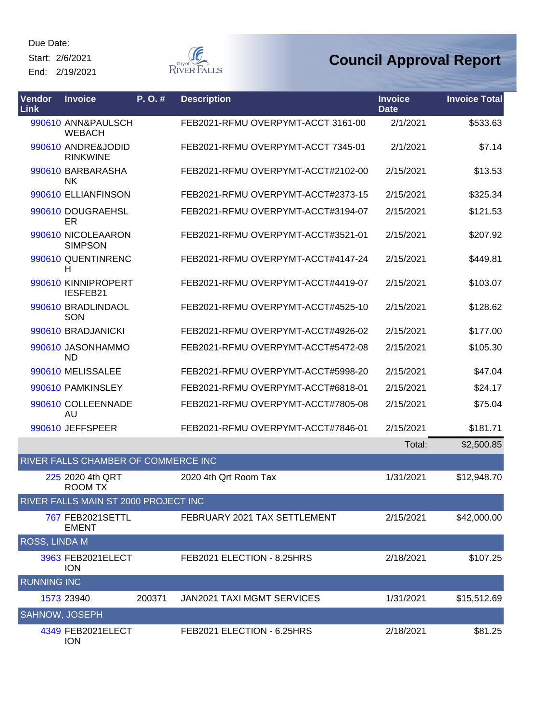Start: 2/6/2021

End: 2/19/2021



| <b>Vendor</b><br>Link | <b>Invoice</b>                        | P. O. # | <b>Description</b>                 | <b>Invoice</b><br><b>Date</b> | <b>Invoice Total</b> |
|-----------------------|---------------------------------------|---------|------------------------------------|-------------------------------|----------------------|
|                       | 990610 ANN&PAULSCH<br><b>WEBACH</b>   |         | FEB2021-RFMU OVERPYMT-ACCT 3161-00 | 2/1/2021                      | \$533.63             |
|                       | 990610 ANDRE&JODID<br><b>RINKWINE</b> |         | FEB2021-RFMU OVERPYMT-ACCT 7345-01 | 2/1/2021                      | \$7.14               |
|                       | 990610 BARBARASHA<br><b>NK</b>        |         | FEB2021-RFMU OVERPYMT-ACCT#2102-00 | 2/15/2021                     | \$13.53              |
|                       | 990610 ELLIANFINSON                   |         | FEB2021-RFMU OVERPYMT-ACCT#2373-15 | 2/15/2021                     | \$325.34             |
|                       | 990610 DOUGRAEHSL<br><b>ER</b>        |         | FEB2021-RFMU OVERPYMT-ACCT#3194-07 | 2/15/2021                     | \$121.53             |
|                       | 990610 NICOLEAARON<br><b>SIMPSON</b>  |         | FEB2021-RFMU OVERPYMT-ACCT#3521-01 | 2/15/2021                     | \$207.92             |
|                       | 990610 QUENTINRENC<br>н               |         | FEB2021-RFMU OVERPYMT-ACCT#4147-24 | 2/15/2021                     | \$449.81             |
|                       | 990610 KINNIPROPERT<br>IESFEB21       |         | FEB2021-RFMU OVERPYMT-ACCT#4419-07 | 2/15/2021                     | \$103.07             |
|                       | 990610 BRADLINDAOL<br>SON             |         | FEB2021-RFMU OVERPYMT-ACCT#4525-10 | 2/15/2021                     | \$128.62             |
|                       | 990610 BRADJANICKI                    |         | FEB2021-RFMU OVERPYMT-ACCT#4926-02 | 2/15/2021                     | \$177.00             |
|                       | 990610 JASONHAMMO<br>ND               |         | FEB2021-RFMU OVERPYMT-ACCT#5472-08 | 2/15/2021                     | \$105.30             |
|                       | 990610 MELISSALEE                     |         | FEB2021-RFMU OVERPYMT-ACCT#5998-20 | 2/15/2021                     | \$47.04              |
|                       | 990610 PAMKINSLEY                     |         | FEB2021-RFMU OVERPYMT-ACCT#6818-01 | 2/15/2021                     | \$24.17              |
|                       | 990610 COLLEENNADE<br>AU              |         | FEB2021-RFMU OVERPYMT-ACCT#7805-08 | 2/15/2021                     | \$75.04              |
|                       | 990610 JEFFSPEER                      |         | FEB2021-RFMU OVERPYMT-ACCT#7846-01 | 2/15/2021                     | \$181.71             |
|                       |                                       |         |                                    | Total:                        | \$2,500.85           |
|                       | RIVER FALLS CHAMBER OF COMMERCE INC   |         |                                    |                               |                      |
|                       | 225 2020 4th QRT<br><b>ROOM TX</b>    |         | 2020 4th Qrt Room Tax              | 1/31/2021                     | \$12,948.70          |
|                       | RIVER FALLS MAIN ST 2000 PROJECT INC  |         |                                    |                               |                      |
|                       | 767 FEB2021SETTL<br><b>EMENT</b>      |         | FEBRUARY 2021 TAX SETTLEMENT       | 2/15/2021                     | \$42,000.00          |
| ROSS, LINDA M         |                                       |         |                                    |                               |                      |
|                       | 3963 FEB2021ELECT<br><b>ION</b>       |         | FEB2021 ELECTION - 8.25HRS         | 2/18/2021                     | \$107.25             |
| <b>RUNNING INC</b>    |                                       |         |                                    |                               |                      |
|                       | 1573 23940                            | 200371  | JAN2021 TAXI MGMT SERVICES         | 1/31/2021                     | \$15,512.69          |
| SAHNOW, JOSEPH        |                                       |         |                                    |                               |                      |
|                       | 4349 FEB2021ELECT<br><b>ION</b>       |         | FEB2021 ELECTION - 6.25HRS         | 2/18/2021                     | \$81.25              |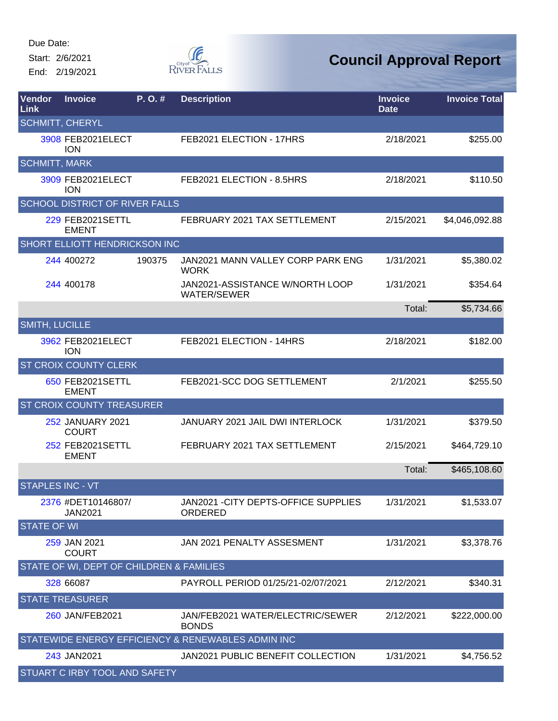Start: 2/6/2021

End: 2/19/2021



| Vendor<br><b>Link</b>   | <b>Invoice</b>                           | P. O. # | <b>Description</b>                                    | <b>Invoice</b><br><b>Date</b> | <b>Invoice Total</b> |
|-------------------------|------------------------------------------|---------|-------------------------------------------------------|-------------------------------|----------------------|
| <b>SCHMITT, CHERYL</b>  |                                          |         |                                                       |                               |                      |
|                         | 3908 FEB2021ELECT<br><b>ION</b>          |         | FEB2021 ELECTION - 17HRS                              | 2/18/2021                     | \$255.00             |
| <b>SCHMITT, MARK</b>    |                                          |         |                                                       |                               |                      |
|                         | 3909 FEB2021ELECT<br><b>ION</b>          |         | FEB2021 ELECTION - 8.5HRS                             | 2/18/2021                     | \$110.50             |
|                         | <b>SCHOOL DISTRICT OF RIVER FALLS</b>    |         |                                                       |                               |                      |
|                         | 229 FEB2021SETTL<br><b>EMENT</b>         |         | FEBRUARY 2021 TAX SETTLEMENT                          | 2/15/2021                     | \$4,046,092.88       |
|                         | SHORT ELLIOTT HENDRICKSON INC            |         |                                                       |                               |                      |
|                         | 244 400272                               | 190375  | JAN2021 MANN VALLEY CORP PARK ENG<br><b>WORK</b>      | 1/31/2021                     | \$5,380.02           |
|                         | 244 400178                               |         | JAN2021-ASSISTANCE W/NORTH LOOP<br><b>WATER/SEWER</b> | 1/31/2021                     | \$354.64             |
|                         |                                          |         |                                                       | Total:                        | \$5,734.66           |
| <b>SMITH, LUCILLE</b>   |                                          |         |                                                       |                               |                      |
|                         | 3962 FEB2021ELECT<br><b>ION</b>          |         | FEB2021 ELECTION - 14HRS                              | 2/18/2021                     | \$182.00             |
|                         | ST CROIX COUNTY CLERK                    |         |                                                       |                               |                      |
|                         | 650 FEB2021SETTL<br><b>EMENT</b>         |         | FEB2021-SCC DOG SETTLEMENT                            | 2/1/2021                      | \$255.50             |
|                         | <b>ST CROIX COUNTY TREASURER</b>         |         |                                                       |                               |                      |
|                         | <b>252 JANUARY 2021</b><br><b>COURT</b>  |         | JANUARY 2021 JAIL DWI INTERLOCK                       | 1/31/2021                     | \$379.50             |
|                         | 252 FEB2021SETTL<br><b>EMENT</b>         |         | FEBRUARY 2021 TAX SETTLEMENT                          | 2/15/2021                     | \$464,729.10         |
|                         |                                          |         |                                                       | Total:                        | \$465,108.60         |
| <b>STAPLES INC - VT</b> |                                          |         |                                                       |                               |                      |
|                         | 2376 #DET10146807/<br><b>JAN2021</b>     |         | JAN2021 - CITY DEPTS-OFFICE SUPPLIES<br>ORDERED       | 1/31/2021                     | \$1,533.07           |
| <b>STATE OF WI</b>      |                                          |         |                                                       |                               |                      |
|                         | 259 JAN 2021<br><b>COURT</b>             |         | JAN 2021 PENALTY ASSESMENT                            | 1/31/2021                     | \$3,378.76           |
|                         | STATE OF WI, DEPT OF CHILDREN & FAMILIES |         |                                                       |                               |                      |
|                         | 328 66087                                |         | PAYROLL PERIOD 01/25/21-02/07/2021                    | 2/12/2021                     | \$340.31             |
|                         | <b>STATE TREASURER</b>                   |         |                                                       |                               |                      |
|                         | 260 JAN/FEB2021                          |         | JAN/FEB2021 WATER/ELECTRIC/SEWER<br><b>BONDS</b>      | 2/12/2021                     | \$222,000.00         |
|                         |                                          |         | STATEWIDE ENERGY EFFICIENCY & RENEWABLES ADMIN INC    |                               |                      |
|                         | 243 JAN2021                              |         | JAN2021 PUBLIC BENEFIT COLLECTION                     | 1/31/2021                     | \$4,756.52           |
|                         | STUART C IRBY TOOL AND SAFETY            |         |                                                       |                               |                      |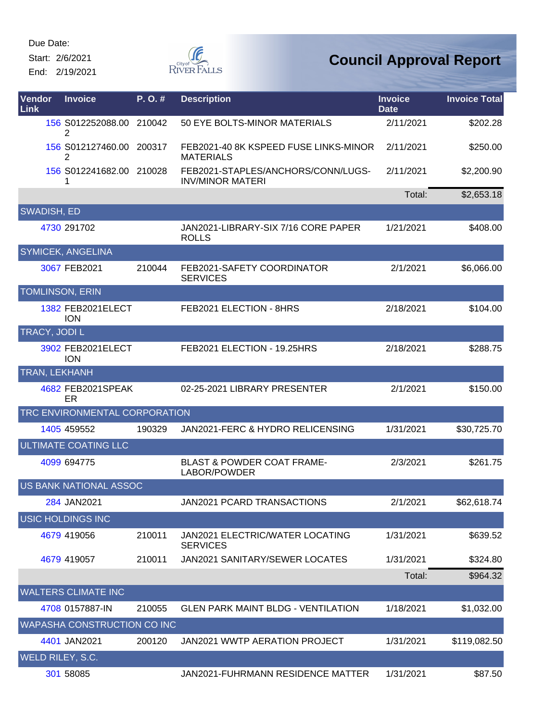Start: 2/6/2021

End: 2/19/2021



| Vendor<br>Link         | <b>Invoice</b>                  | P.O.#  | <b>Description</b>                                            | <b>Invoice</b><br><b>Date</b> | <b>Invoice Total</b> |
|------------------------|---------------------------------|--------|---------------------------------------------------------------|-------------------------------|----------------------|
|                        | 156 S012252088.00 210042<br>2   |        | 50 EYE BOLTS-MINOR MATERIALS                                  | 2/11/2021                     | \$202.28             |
|                        | 156 S012127460.00 200317<br>2   |        | FEB2021-40 8K KSPEED FUSE LINKS-MINOR<br><b>MATERIALS</b>     | 2/11/2021                     | \$250.00             |
|                        | 156 S012241682.00 210028<br>1   |        | FEB2021-STAPLES/ANCHORS/CONN/LUGS-<br><b>INV/MINOR MATERI</b> | 2/11/2021                     | \$2,200.90           |
|                        |                                 |        |                                                               | Total:                        | \$2,653.18           |
| SWADISH, ED            |                                 |        |                                                               |                               |                      |
|                        | 4730 291702                     |        | JAN2021-LIBRARY-SIX 7/16 CORE PAPER<br><b>ROLLS</b>           | 1/21/2021                     | \$408.00             |
|                        | <b>SYMICEK, ANGELINA</b>        |        |                                                               |                               |                      |
|                        | 3067 FEB2021                    | 210044 | FEB2021-SAFETY COORDINATOR<br><b>SERVICES</b>                 | 2/1/2021                      | \$6,066.00           |
| <b>TOMLINSON, ERIN</b> |                                 |        |                                                               |                               |                      |
|                        | 1382 FEB2021ELECT<br><b>ION</b> |        | FEB2021 ELECTION - 8HRS                                       | 2/18/2021                     | \$104.00             |
| <b>TRACY, JODIL</b>    |                                 |        |                                                               |                               |                      |
|                        | 3902 FEB2021ELECT<br><b>ION</b> |        | FEB2021 ELECTION - 19.25HRS                                   | 2/18/2021                     | \$288.75             |
| TRAN, LEKHANH          |                                 |        |                                                               |                               |                      |
|                        | 4682 FEB2021SPEAK<br><b>ER</b>  |        | 02-25-2021 LIBRARY PRESENTER                                  | 2/1/2021                      | \$150.00             |
|                        | TRC ENVIRONMENTAL CORPORATION   |        |                                                               |                               |                      |
|                        | 1405 459552                     | 190329 | JAN2021-FERC & HYDRO RELICENSING                              | 1/31/2021                     | \$30,725.70          |
|                        | <b>ULTIMATE COATING LLC</b>     |        |                                                               |                               |                      |
|                        | 4099 694775                     |        | <b>BLAST &amp; POWDER COAT FRAME-</b><br>LABOR/POWDER         | 2/3/2021                      | \$261.75             |
|                        | US BANK NATIONAL ASSOC          |        |                                                               |                               |                      |
|                        | 284 JAN2021                     |        | JAN2021 PCARD TRANSACTIONS                                    | 2/1/2021                      | \$62,618.74          |
|                        | <b>USIC HOLDINGS INC</b>        |        |                                                               |                               |                      |
|                        | 4679 419056                     | 210011 | <b>JAN2021 ELECTRIC/WATER LOCATING</b><br><b>SERVICES</b>     | 1/31/2021                     | \$639.52             |
|                        | 4679 419057                     | 210011 | JAN2021 SANITARY/SEWER LOCATES                                | 1/31/2021                     | \$324.80             |
|                        |                                 |        |                                                               | Total:                        | \$964.32             |
|                        | <b>WALTERS CLIMATE INC</b>      |        |                                                               |                               |                      |
|                        | 4708 0157887-IN                 | 210055 | <b>GLEN PARK MAINT BLDG - VENTILATION</b>                     | 1/18/2021                     | \$1,032.00           |
|                        | WAPASHA CONSTRUCTION CO INC     |        |                                                               |                               |                      |
|                        | 4401 JAN2021                    | 200120 | JAN2021 WWTP AERATION PROJECT                                 | 1/31/2021                     | \$119,082.50         |
| WELD RILEY, S.C.       |                                 |        |                                                               |                               |                      |
|                        | 301 58085                       |        | JAN2021-FUHRMANN RESIDENCE MATTER                             | 1/31/2021                     | \$87.50              |